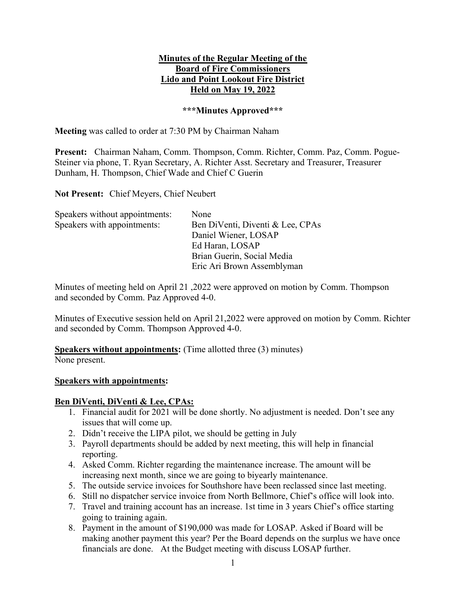#### Minutes of the Regular Meeting of the Board of Fire Commissioners Lido and Point Lookout Fire District Held on May 19, 2022

#### \*\*\*Minutes Approved\*\*\*

Meeting was called to order at 7:30 PM by Chairman Naham

Present: Chairman Naham, Comm. Thompson, Comm. Richter, Comm. Paz, Comm. Pogue-Steiner via phone, T. Ryan Secretary, A. Richter Asst. Secretary and Treasurer, Treasurer Dunham, H. Thompson, Chief Wade and Chief C Guerin

Not Present: Chief Meyers, Chief Neubert

| Speakers without appointments: | None                             |
|--------------------------------|----------------------------------|
| Speakers with appointments:    | Ben DiVenti, Diventi & Lee, CPAs |
|                                | Daniel Wiener, LOSAP             |
|                                | Ed Haran, LOSAP                  |
|                                | Brian Guerin, Social Media       |
|                                | Eric Ari Brown Assemblyman       |

Minutes of meeting held on April 21 ,2022 were approved on motion by Comm. Thompson and seconded by Comm. Paz Approved 4-0.

Minutes of Executive session held on April 21,2022 were approved on motion by Comm. Richter and seconded by Comm. Thompson Approved 4-0.

#### Speakers without appointments: (Time allotted three (3) minutes)

None present.

#### Speakers with appointments:

#### Ben DiVenti, DiVenti & Lee, CPAs:

- 1. Financial audit for 2021 will be done shortly. No adjustment is needed. Don't see any issues that will come up.
- 2. Didn't receive the LIPA pilot, we should be getting in July
- 3. Payroll departments should be added by next meeting, this will help in financial reporting.
- 4. Asked Comm. Richter regarding the maintenance increase. The amount will be increasing next month, since we are going to biyearly maintenance.
- 5. The outside service invoices for Southshore have been reclassed since last meeting.
- 6. Still no dispatcher service invoice from North Bellmore, Chief's office will look into.
- 7. Travel and training account has an increase. 1st time in 3 years Chief's office starting going to training again.
- 8. Payment in the amount of \$190,000 was made for LOSAP. Asked if Board will be making another payment this year? Per the Board depends on the surplus we have once financials are done. At the Budget meeting with discuss LOSAP further.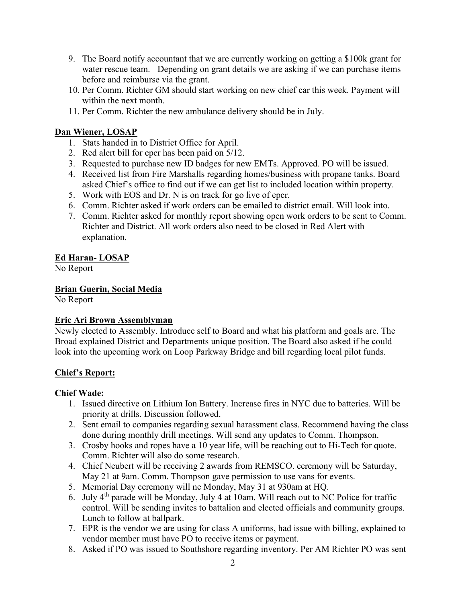- 9. The Board notify accountant that we are currently working on getting a \$100k grant for water rescue team. Depending on grant details we are asking if we can purchase items before and reimburse via the grant.
- 10. Per Comm. Richter GM should start working on new chief car this week. Payment will within the next month.
- 11. Per Comm. Richter the new ambulance delivery should be in July.

# Dan Wiener, LOSAP

- 1. Stats handed in to District Office for April.
- 2. Red alert bill for epcr has been paid on 5/12.
- 3. Requested to purchase new ID badges for new EMTs. Approved. PO will be issued.
- 4. Received list from Fire Marshalls regarding homes/business with propane tanks. Board asked Chief's office to find out if we can get list to included location within property.
- 5. Work with EOS and Dr. N is on track for go live of epcr.
- 6. Comm. Richter asked if work orders can be emailed to district email. Will look into.
- 7. Comm. Richter asked for monthly report showing open work orders to be sent to Comm. Richter and District. All work orders also need to be closed in Red Alert with explanation.

# Ed Haran- LOSAP

No Report

Brian Guerin, Social Media

No Report

### Eric Ari Brown Assemblyman

Newly elected to Assembly. Introduce self to Board and what his platform and goals are. The Broad explained District and Departments unique position. The Board also asked if he could look into the upcoming work on Loop Parkway Bridge and bill regarding local pilot funds.

# Chief's Report:

### Chief Wade:

- 1. Issued directive on Lithium Ion Battery. Increase fires in NYC due to batteries. Will be priority at drills. Discussion followed.
- 2. Sent email to companies regarding sexual harassment class. Recommend having the class done during monthly drill meetings. Will send any updates to Comm. Thompson.
- 3. Crosby hooks and ropes have a 10 year life, will be reaching out to Hi-Tech for quote. Comm. Richter will also do some research.
- 4. Chief Neubert will be receiving 2 awards from REMSCO. ceremony will be Saturday, May 21 at 9am. Comm. Thompson gave permission to use vans for events.
- 5. Memorial Day ceremony will ne Monday, May 31 at 930am at HQ.
- 6. July  $4<sup>th</sup>$  parade will be Monday, July 4 at 10am. Will reach out to NC Police for traffic control. Will be sending invites to battalion and elected officials and community groups. Lunch to follow at ballpark.
- 7. EPR is the vendor we are using for class A uniforms, had issue with billing, explained to vendor member must have PO to receive items or payment.
- 8. Asked if PO was issued to Southshore regarding inventory. Per AM Richter PO was sent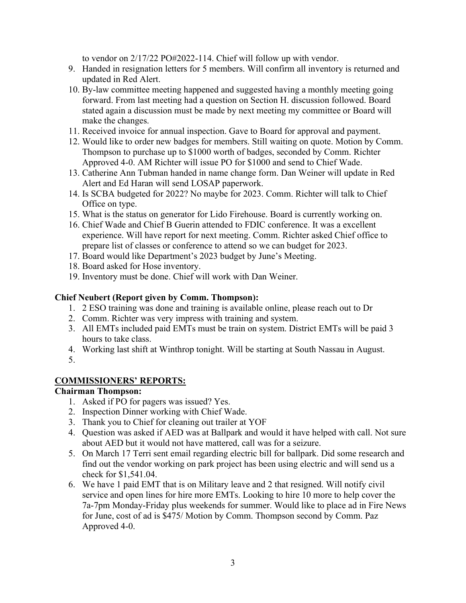to vendor on 2/17/22 PO#2022-114. Chief will follow up with vendor.

- 9. Handed in resignation letters for 5 members. Will confirm all inventory is returned and updated in Red Alert.
- 10. By-law committee meeting happened and suggested having a monthly meeting going forward. From last meeting had a question on Section H. discussion followed. Board stated again a discussion must be made by next meeting my committee or Board will make the changes.
- 11. Received invoice for annual inspection. Gave to Board for approval and payment.
- 12. Would like to order new badges for members. Still waiting on quote. Motion by Comm. Thompson to purchase up to \$1000 worth of badges, seconded by Comm. Richter Approved 4-0. AM Richter will issue PO for \$1000 and send to Chief Wade.
- 13. Catherine Ann Tubman handed in name change form. Dan Weiner will update in Red Alert and Ed Haran will send LOSAP paperwork.
- 14. Is SCBA budgeted for 2022? No maybe for 2023. Comm. Richter will talk to Chief Office on type.
- 15. What is the status on generator for Lido Firehouse. Board is currently working on.
- 16. Chief Wade and Chief B Guerin attended to FDIC conference. It was a excellent experience. Will have report for next meeting. Comm. Richter asked Chief office to prepare list of classes or conference to attend so we can budget for 2023.
- 17. Board would like Department's 2023 budget by June's Meeting.
- 18. Board asked for Hose inventory.
- 19. Inventory must be done. Chief will work with Dan Weiner.

# Chief Neubert (Report given by Comm. Thompson):

- 1. 2 ESO training was done and training is available online, please reach out to Dr
- 2. Comm. Richter was very impress with training and system.
- 3. All EMTs included paid EMTs must be train on system. District EMTs will be paid 3 hours to take class.
- 4. Working last shift at Winthrop tonight. Will be starting at South Nassau in August.
- 5.

# COMMISSIONERS' REPORTS:

# Chairman Thompson:

- 1. Asked if PO for pagers was issued? Yes.
- 2. Inspection Dinner working with Chief Wade.
- 3. Thank you to Chief for cleaning out trailer at YOF
- 4. Question was asked if AED was at Ballpark and would it have helped with call. Not sure about AED but it would not have mattered, call was for a seizure.
- 5. On March 17 Terri sent email regarding electric bill for ballpark. Did some research and find out the vendor working on park project has been using electric and will send us a check for \$1,541.04.
- 6. We have 1 paid EMT that is on Military leave and 2 that resigned. Will notify civil service and open lines for hire more EMTs. Looking to hire 10 more to help cover the 7a-7pm Monday-Friday plus weekends for summer. Would like to place ad in Fire News for June, cost of ad is \$475/ Motion by Comm. Thompson second by Comm. Paz Approved 4-0.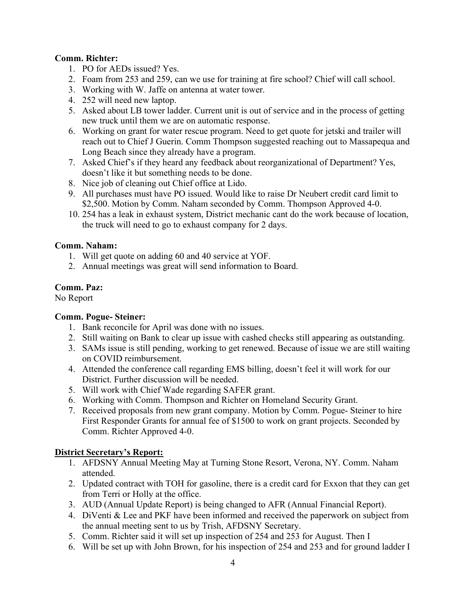### Comm. Richter:

- 1. PO for AEDs issued? Yes.
- 2. Foam from 253 and 259, can we use for training at fire school? Chief will call school.
- 3. Working with W. Jaffe on antenna at water tower.
- 4. 252 will need new laptop.
- 5. Asked about LB tower ladder. Current unit is out of service and in the process of getting new truck until them we are on automatic response.
- 6. Working on grant for water rescue program. Need to get quote for jetski and trailer will reach out to Chief J Guerin. Comm Thompson suggested reaching out to Massapequa and Long Beach since they already have a program.
- 7. Asked Chief's if they heard any feedback about reorganizational of Department? Yes, doesn't like it but something needs to be done.
- 8. Nice job of cleaning out Chief office at Lido.
- 9. All purchases must have PO issued. Would like to raise Dr Neubert credit card limit to \$2,500. Motion by Comm. Naham seconded by Comm. Thompson Approved 4-0.
- 10. 254 has a leak in exhaust system, District mechanic cant do the work because of location, the truck will need to go to exhaust company for 2 days.

# Comm. Naham:

- 1. Will get quote on adding 60 and 40 service at YOF.
- 2. Annual meetings was great will send information to Board.

# Comm. Paz:

No Report

### Comm. Pogue- Steiner:

- 1. Bank reconcile for April was done with no issues.
- 2. Still waiting on Bank to clear up issue with cashed checks still appearing as outstanding.
- 3. SAMs issue is still pending, working to get renewed. Because of issue we are still waiting on COVID reimbursement.
- 4. Attended the conference call regarding EMS billing, doesn't feel it will work for our District. Further discussion will be needed.
- 5. Will work with Chief Wade regarding SAFER grant.
- 6. Working with Comm. Thompson and Richter on Homeland Security Grant.
- 7. Received proposals from new grant company. Motion by Comm. Pogue- Steiner to hire First Responder Grants for annual fee of \$1500 to work on grant projects. Seconded by Comm. Richter Approved 4-0.

# District Secretary's Report:

- 1. AFDSNY Annual Meeting May at Turning Stone Resort, Verona, NY. Comm. Naham attended.
- 2. Updated contract with TOH for gasoline, there is a credit card for Exxon that they can get from Terri or Holly at the office.
- 3. AUD (Annual Update Report) is being changed to AFR (Annual Financial Report).
- 4. DiVenti & Lee and PKF have been informed and received the paperwork on subject from the annual meeting sent to us by Trish, AFDSNY Secretary.
- 5. Comm. Richter said it will set up inspection of 254 and 253 for August. Then I
- 6. Will be set up with John Brown, for his inspection of 254 and 253 and for ground ladder I